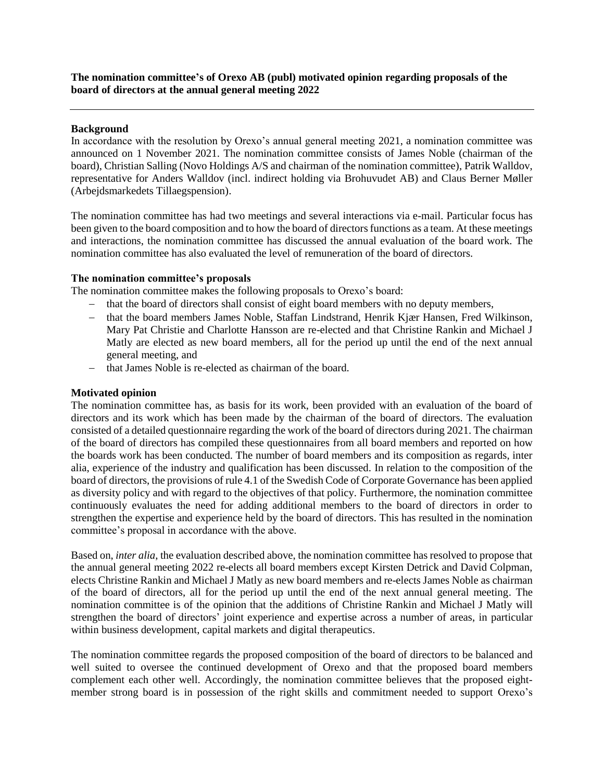## **Background**

In accordance with the resolution by Orexo's annual general meeting 2021, a nomination committee was announced on 1 November 2021. The nomination committee consists of James Noble (chairman of the board), Christian Salling (Novo Holdings A/S and chairman of the nomination committee), Patrik Walldov, representative for Anders Walldov (incl. indirect holding via Brohuvudet AB) and Claus Berner Møller (Arbejdsmarkedets Tillaegspension).

The nomination committee has had two meetings and several interactions via e-mail. Particular focus has been given to the board composition and to how the board of directors functions as a team. At these meetings and interactions, the nomination committee has discussed the annual evaluation of the board work. The nomination committee has also evaluated the level of remuneration of the board of directors.

## **The nomination committee's proposals**

The nomination committee makes the following proposals to Orexo's board:

- that the board of directors shall consist of eight board members with no deputy members,
- that the board members James Noble, Staffan Lindstrand, Henrik Kjær Hansen, Fred Wilkinson, Mary Pat Christie and Charlotte Hansson are re-elected and that Christine Rankin and Michael J Matly are elected as new board members, all for the period up until the end of the next annual general meeting, and
- that James Noble is re-elected as chairman of the board.

## **Motivated opinion**

The nomination committee has, as basis for its work, been provided with an evaluation of the board of directors and its work which has been made by the chairman of the board of directors. The evaluation consisted of a detailed questionnaire regarding the work of the board of directors during 2021. The chairman of the board of directors has compiled these questionnaires from all board members and reported on how the boards work has been conducted. The number of board members and its composition as regards, inter alia, experience of the industry and qualification has been discussed. In relation to the composition of the board of directors, the provisions of rule 4.1 of the Swedish Code of Corporate Governance has been applied as diversity policy and with regard to the objectives of that policy. Furthermore, the nomination committee continuously evaluates the need for adding additional members to the board of directors in order to strengthen the expertise and experience held by the board of directors. This has resulted in the nomination committee's proposal in accordance with the above.

Based on, *inter alia*, the evaluation described above, the nomination committee has resolved to propose that the annual general meeting 2022 re-elects all board members except Kirsten Detrick and David Colpman, elects Christine Rankin and Michael J Matly as new board members and re-elects James Noble as chairman of the board of directors, all for the period up until the end of the next annual general meeting. The nomination committee is of the opinion that the additions of Christine Rankin and Michael J Matly will strengthen the board of directors' joint experience and expertise across a number of areas, in particular within business development, capital markets and digital therapeutics.

The nomination committee regards the proposed composition of the board of directors to be balanced and well suited to oversee the continued development of Orexo and that the proposed board members complement each other well. Accordingly, the nomination committee believes that the proposed eightmember strong board is in possession of the right skills and commitment needed to support Orexo's